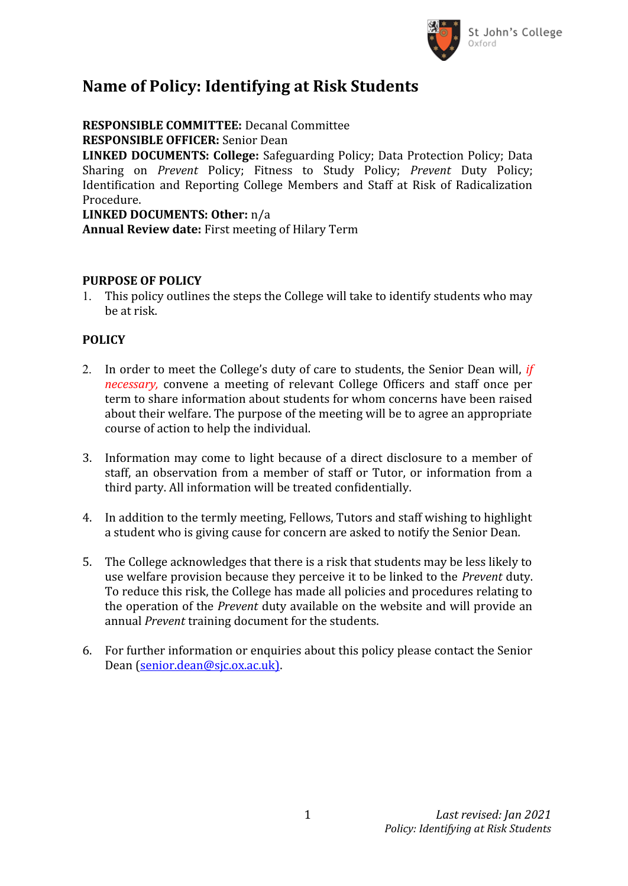

## **Name of Policy: Identifying at Risk Students**

**RESPONSIBLE COMMITTEE:** Decanal Committee **RESPONSIBLE OFFICER:** Senior Dean **LINKED DOCUMENTS: College:** Safeguarding Policy; Data Protection Policy; Data Sharing on *Prevent* Policy; Fitness to Study Policy; *Prevent* Duty Policy; Identification and Reporting College Members and Staff at Risk of Radicalization Procedure. **LINKED DOCUMENTS: Other:** n/a **Annual Review date:** First meeting of Hilary Term

## **PURPOSE OF POLICY**

1. This policy outlines the steps the College will take to identify students who may be at risk.

## **POLICY**

- 2. In order to meet the College's duty of care to students, the Senior Dean will, *if necessary,* convene a meeting of relevant College Officers and staff once per term to share information about students for whom concerns have been raised about their welfare. The purpose of the meeting will be to agree an appropriate course of action to help the individual.
- 3. Information may come to light because of a direct disclosure to a member of staff, an observation from a member of staff or Tutor, or information from a third party. All information will be treated confidentially.
- 4. In addition to the termly meeting, Fellows, Tutors and staff wishing to highlight a student who is giving cause for concern are asked to notify the Senior Dean.
- 5. The College acknowledges that there is a risk that students may be less likely to use welfare provision because they perceive it to be linked to the *Prevent* duty. To reduce this risk, the College has made all policies and procedures relating to the operation of the *Prevent* duty available on the website and will provide an annual *Prevent* training document for the students.
- 6. For further information or enquiries about this policy please contact the Senior Dean ([senior.dean@sjc.ox.ac.uk\)](mailto:senior.dean@sjc.ox.ac.uk)).